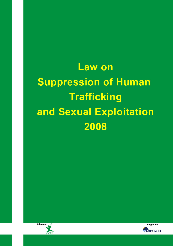# **Law on Suppression of Human Trafficking** and Sexual Exploitation 2008



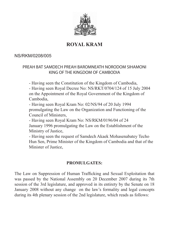

# **ROYAL KRAM**

#### NS/RKM/0208/005

#### PREAH BAT SAMDECH PREAH BAROMNEATH NORODOM SIHAMONI KING OF THE KINGDOM OF CAMBODIA

 - Having seen the Constitution of the Kingdom of Cambodia,

 - Having seen Royal Decree No: NS/RKT/0704/124 of 15 July 2004 on the Appointment of the Royal Government of the Kingdom of Cambodia,

 - Having seen Royal Kram No: 02/NS/94 of 20 July 1994 promulgating the Law on the Organization and Functioning of the Council of Ministers,

 - Having seen Royal Kram No: NS/RKM/0196/04 of 24 January 1996 promulgating the Law on the Establishment of the Ministry of Justice,

 - Having seen the request of Samdech Akaek Mohasenabatey Techo Hun Sen, Prime Minister of the Kingdom of Cambodia and that of the Minister of Justice,

#### **PROMULGATES:**

The Law on Suppression of Human Trafficking and Sexual Exploitation that was passed by the National Assembly on 20 December 2007 during its 7th session of the 3rd legislature, and approved in its entirety by the Senate on 18 January 2008 without any change on the law's formality and legal concepts during its 4th plenary session of the 2nd legislature, which reads as follows: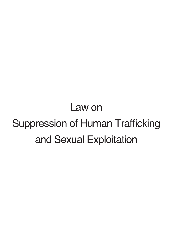# Law on Suppression of Human Trafficking and Sexual Exploitation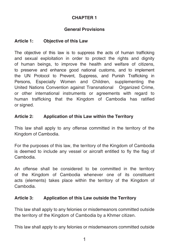# **General Provisions**

# **Article 1: Objective of this Law**

The objective of this law is to suppress the acts of human trafficking and sexual exploitation in order to protect the rights and dignity of human beings, to improve the health and welfare of citizens, to preserve and enhance good national customs, and to implement the UN Protocol to Prevent, Suppress, and Punish Trafficking in Persons, Especially Women and Children, supplementing the United Nations Convention against Transnational Organized Crime, or other international instruments or agreements with regard to human trafficking that the Kingdom of Cambodia has ratified or signed.

### **Article 2: Application of this Law within the Territory**

This law shall apply to any offense committed in the territory of the Kingdom of Cambodia.

For the purposes of this law, the territory of the Kingdom of Cambodia is deemed to include any vessel or aircraft entitled to fly the flag of Cambodia.

An offense shall be considered to be committed in the territory of the Kingdom of Cambodia whenever one of its constituent acts (elements) takes place within the territory of the Kingdom of Cambodia.

# **Article 3: Application of this Law outside the Territory**

This law shall apply to any felonies or misdemeanors committed outside the territory of the Kingdom of Cambodia by a Khmer citizen.

This law shall apply to any felonies or misdemeanors committed outside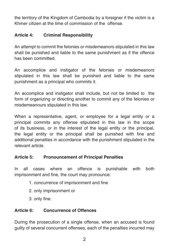the territory of the Kingdom of Cambodia by a foreigner if the victim is a Khmer citizen at the time of commission of the offense.

## **Article 4: Criminal Responsibility**

An attempt to commit the felonies or misdemeanors stipulated in this law shall be punished and liable to the same punishment as if the offence has been committed.

An accomplice and instigator of the felonies or misdemeanors stipulated in this law shall be punished and liable to the same punishment as a principal who commits it.

An accomplice and instigator shall include, but not be limited to the form of organizing or directing another to commit any of the felonies or misdemeanours stipulated in this law.

When a representative, agent, or employee for a legal entity or a principal commits any offense stipulated in this law in the scope of its business, or in the interest of the legal entity or the principal, the legal entity or the principal shall be punished with fine and additional penalties in accordance with the punishment stipulated in the relevant article.

#### **Article 5: Pronouncement of Principal Penalties**

In all cases where an offence is punishable with both imprisonment and fine, the court may pronounce:

- 1. concurrence of imprisonment and fine
- 2. only imprisonment or
- 3. only fine.

# **Article 6: Concurrence of Offences**

During the prosecution of a single offense, when an accused is found guilty of several concurrent offenses, each of the penalties incurred may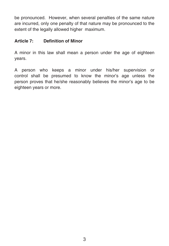be pronounced. However, when several penalties of the same nature are incurred, only one penalty of that nature may be pronounced to the extent of the legally allowed higher maximum.

#### **Article 7: Definition of Minor**

A minor in this law shall mean a person under the age of eighteen years.

A person who keeps a minor under his/her supervision or control shall be presumed to know the minor's age unless the person proves that he/she reasonably believes the minor's age to be eighteen years or more.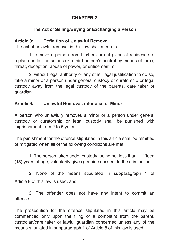# **The Act of Selling/Buying or Exchanging a Person**

# **Article 8: Definition of Unlawful Removal**

The act of unlawful removal in this law shall mean to:

1. remove a person from his/her current place of residence to a place under the actor's or a third person's control by means of force, threat, deception, abuse of power, or enticement, or

2. without legal authority or any other legal justification to do so, take a minor or a person under general custody or curatorship or legal custody away from the legal custody of the parents, care taker or guardian.

### **Article 9: Unlawful Removal, inter alia, of Minor**

A person who unlawfully removes a minor or a person under general custody or curatorship or legal custody shall be punished with imprisonment from 2 to 5 years.

The punishment for the offence stipulated in this article shall be remitted or mitigated when all of the following conditions are met:

1. The person taken under custody, being not less than fifteen (15) years of age, voluntarily gives genuine consent to the criminal act;

2. None of the means stipulated in subparagraph 1 of Article 8 of this law is used; and

3. The offender does not have any intent to commit an offense.

The prosecution for the offence stipulated in this article may be commenced only upon the filing of a complaint from the parent, custodian/care taker or lawful guardian concerned unless any of the means stipulated in subparagraph 1 of Article 8 of this law is used.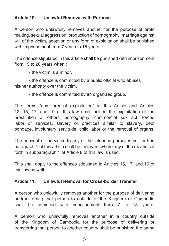#### **Article 10: Unlawful Removal with Purpose**

A person who unlawfully removes another for the purpose of profit making, sexual aggression, production of pornography, marriage against will of the victim, adoption or any form of exploitation shall be punished with imprisonment from 7 years to 15 years.

The offence stipulated in this article shall be punished with imprisonment from 15 to 20 years when :

- the victim is a minor,

- the offence is committed by a public official who abuses his/her authority over the victim,

- the offence is committed by an organized group.

The terms "any form of exploitation" in this Article and Articles 12, 15, 17, and 19 of this law shall include the exploitation of the prostitution of others, pornography, commercial sex act, forced labor or services, slavery or practices similar to slavery, debt bondage, involuntary servitude, child labor or the removal of organs.

The consent of the victim to any of the intended purposes set forth in paragraph 1 of this article shall be irrelevant where any of the means set forth in subparagraph 1 of Article 8 of this law is used.

This shall apply to the offences stipulated in Articles 15, 17, and 19 of this law as well.

# **Article 11: Unlawful Removal for Cross-border Transfer**

A person who unlawfully removes another for the purpose of delivering or transferring that person to outside of the Kingdom of Cambodia shall be punished with imprisonment from 7 to 15 years.

A person who unlawfully removes another in a country outside of the Kingdom of Cambodia for the purpose of delivering or transferring that person to another country shall be punished the same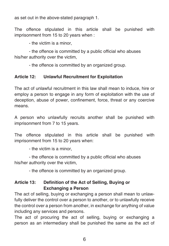as set out in the above-stated paragraph 1.

The offence stipulated in this article shall be punished with imprisonment from 15 to 20 years when :

- the victim is a minor,

- the offence is committed by a public official who abuses his/her authority over the victim,

- the offence is committed by an organized group.

# **Article 12: Unlawful Recruitment for Exploitation**

The act of unlawful recruitment in this law shall mean to induce, hire or employ a person to engage in any form of exploitation with the use of deception, abuse of power, confinement, force, threat or any coercive means.

A person who unlawfully recruits another shall be punished with imprisonment from 7 to 15 years.

The offence stipulated in this article shall be punished with imprisonment from 15 to 20 years when:

- the victim is a minor,

- the offence is committed by a public official who abuses his/her authority over the victim,

- the offence is committed by an organized group.

# **Article 13: Definition of the Act of Selling, Buying or Exchanging a Person**

The act of selling, buying or exchanging a person shall mean to unlawfully deliver the control over a person to another, or to unlawfully receive the control over a person from another, in exchange for anything of value including any services and persons.

The act of procuring the act of selling, buying or exchanging a person as an intermediary shall be punished the same as the act of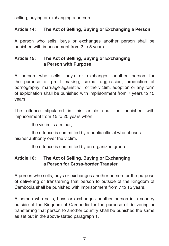selling, buying or exchanging a person.

#### **Article 14: The Act of Selling, Buying or Exchanging a Person**

A person who sells, buys or exchanges another person shall be punished with imprisonment from 2 to 5 years.

#### **Article 15: The Act of Selling, Buying or Exchanging a Person with Purpose**

A person who sells, buys or exchanges another person for the purpose of profit making, sexual aggression, production of pornography, marriage against will of the victim, adoption or any form of exploitation shall be punished with imprisonment from 7 years to 15 years.

The offence stipulated in this article shall be punished with imprisonment from 15 to 20 years when :

- the victim is a minor,

- the offence is committed by a public official who abuses his/her authority over the victim,

- the offence is committed by an organized group.

### **Article 16: The Act of Selling, Buying or Exchanging a Person for Cross-border Transfer**

A person who sells, buys or exchanges another person for the purpose of delivering or transferring that person to outside of the Kingdom of Cambodia shall be punished with imprisonment from 7 to 15 years.

A person who sells, buys or exchanges another person in a country outside of the Kingdom of Cambodia for the purpose of delivering or transferring that person to another country shall be punished the same as set out in the above-stated paragraph 1.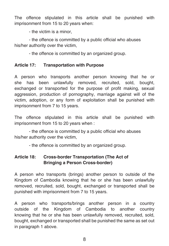The offence stipulated in this article shall be punished with imprisonment from 15 to 20 years when:

- the victim is a minor,

- the offence is committed by a public official who abuses his/her authority over the victim,

- the offence is committed by an organized group.

# **Article 17: Transportation with Purpose**

A person who transports another person knowing that he or she has been unlawfully removed, recruited, sold, bought, exchanged or transported for the purpose of profit making, sexual aggression, production of pornography, marriage against will of the victim, adoption, or any form of exploitation shall be punished with imprisonment from 7 to 15 years.

The offence stipulated in this article shall be punished with imprisonment from 15 to 20 years when :

- the offence is committed by a public official who abuses his/her authority over the victim,

- the offence is committed by an organized group.

# **Article 18: Cross-border Transportation (The Act of Bringing a Person Cross-border)**

A person who transports (brings) another person to outside of the Kingdom of Cambodia knowing that he or she has been unlawfully removed, recruited, sold, bought, exchanged or transported shall be punished with imprisonment from 7 to 15 years.

A person who transports/brings another person in a country outside of the Kingdom of Cambodia to another country knowing that he or she has been unlawfully removed, recruited, sold, bought, exchanged or transported shall be punished the same as set out in paragraph 1 above.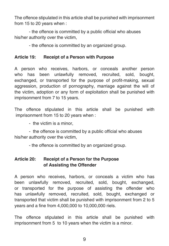The offence stipulated in this article shall be punished with imprisonment from 15 to 20 years when :

- the offence is committed by a public official who abuses his/her authority over the victim,

- the offence is committed by an organized group.

### **Article 19: Receipt of a Person with Purpose**

A person who receives, harbors, or conceals another person who has been unlawfully removed, recruited, sold, bought, exchanged, or transported for the purpose of profit-making, sexual aggression, production of pornography, marriage against the will of the victim, adoption or any form of exploitation shall be punished with imprisonment from 7 to 15 years.

The offence stipulated in this article shall be punished with imprisonment from 15 to 20 years when :

- the victim is a minor,

- the offence is committed by a public official who abuses his/her authority over the victim,

- the offence is committed by an organized group.

# **Article 20: Receipt of a Person for the Purpose of Assisting the Offender**

A person who receives, harbors, or conceals a victim who has been unlawfully removed, recruited, sold, bought, exchanged, or transported for the purpose of assisting the offender who has unlawfully removed, recruited, sold, bought, exchanged or transported that victim shall be punished with imprisonment from 2 to 5 years and a fine from 4,000,000 to 10,000,000 riels.

The offence stipulated in this article shall be punished with imprisonment from 5 to 10 years when the victim is a minor.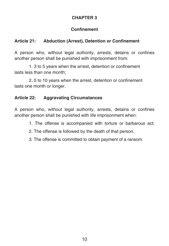# **Confinement**

# **Article 21: Abduction (Arrest), Detention or Confinement**

A person who, without legal authority, arrests, detains or confines another person shall be punished with imprisonment from:

1. 3 to 5 years when the arrest, detention or confinement lasts less than one month;

2. 5 to 10 years when the arrest, detention or confinement lasts one month or longer.

# **Article 22: Aggravating Circumstances**

A person who, without legal authority, arrests, detains or confines another person shall be punished with life imprisonment when:

- 1. The offense is accompanied with torture or barbarous act;
- 2. The offense is followed by the death of that person.
- 3. The offense is committed to obtain payment of a ransom.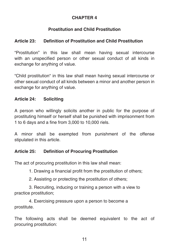# **Prostitution and Child Prostitution**

# **Article 23: Definition of Prostitution and Child Prostitution**

"Prostitution" in this law shall mean having sexual intercourse with an unspecified person or other sexual conduct of all kinds in exchange for anything of value.

"Child prostitution" in this law shall mean having sexual intercourse or other sexual conduct of all kinds between a minor and another person in exchange for anything of value.

# **Article 24: Soliciting**

A person who willingly solicits another in public for the purpose of prostituting himself or herself shall be punished with imprisonment from 1 to 6 days and a fine from 3,000 to 10,000 riels.

A minor shall be exempted from punishment of the offense stipulated in this article.

# **Article 25: Definition of Procuring Prostitution**

The act of procuring prostitution in this law shall mean:

1. Drawing a financial profit from the prostitution of others;

2. Assisting or protecting the prostitution of others;

3. Recruiting, inducing or training a person with a view to practice prostitution;

4. Exercising pressure upon a person to become a prostitute.

The following acts shall be deemed equivalent to the act of procuring prostitution: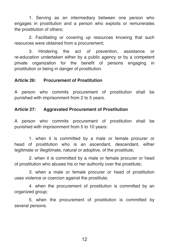1. Serving as an intermediary between one person who engages in prostitution and a person who exploits or remunerates the prostitution of others;

2. Facilitating or covering up resources knowing that such resources were obtained from a procurement;

3. Hindering the act of prevention, assistance or re-education undertaken either by a public agency or by a competent private organization for the benefit of persons engaging in prostitution or being in danger of prostitution.

#### **Article 26: Procurement of Prostitution**

A person who commits procurement of prostitution shall be punished with imprisonment from 2 to 5 years.

#### **Article 27: Aggravated Procurement of Prostitution**

A person who commits procurement of prostitution shall be punished with imprisonment from 5 to 10 years:

1. when it is committed by a male or female procurer or head of prostitution who is an ascendant, descendant, either legitimate or illegitimate, natural or adoptive, of the prostitute;

2. when it is committed by a male or female procurer or head of prostitution who abuses his or her authority over the prostitute;

3. when a male or female procurer or head of prostitution uses violence or coercion against the prostitute;

4. when the procurement of prostitution is committed by an organized group;

5. when the procurement of prostitution is committed by several persons.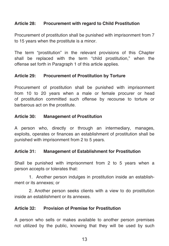#### **Article 28: Procurement with regard to Child Prostitution**

Procurement of prostitution shall be punished with imprisonment from 7 to 15 years when the prostitute is a minor.

The term "prostitution" in the relevant provisions of this Chapter shall be replaced with the term "child prostitution," when the offense set forth in Paragraph 1 of this article applies.

#### **Article 29: Procurement of Prostitution by Torture**

Procurement of prostitution shall be punished with imprisonment from 10 to 20 years when a male or female procurer or head of prostitution committed such offense by recourse to torture or barbarous act on the prostitute.

#### **Article 30: Management of Prostitution**

A person who, directly or through an intermediary, manages, exploits, operates or finances an establishment of prostitution shall be punished with imprisonment from 2 to 5 years.

#### **Article 31: Management of Establishment for Prostitution**

Shall be punished with imprisonment from 2 to 5 years when a person accepts or tolerates that:

1. Another person indulges in prostitution inside an establishment or its annexes; or

2. Another person seeks clients with a view to do prostitution inside an establishment or its annexes.

#### **Article 32: Provision of Premise for Prostitution**

A person who sells or makes available to another person premises not utilized by the public, knowing that they will be used by such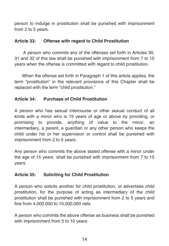person to indulge in prostitution shall be punished with imprisonment from 2 to 5 years.

#### **Article 33: Offense with regard to Child Prostitution**

 A person who commits any of the offenses set forth in Articles 30, 31 and 32 of this law shall be punished with imprisonment from 7 to 15 years when the offense is committed with regard to child prostitution.

 When the offense set forth in Paragraph 1 of this article applies, the term "prostitution" in the relevant provisions of this Chapter shall be replaced with the term "child prostitution."

# **Article 34: Purchase of Child Prostitution**

A person who has sexual intercourse or other sexual conduct of all kinds with a minor who is 15 years of age or above by providing, or promising to provide, anything of value to the minor, an intermediary, a parent, a guardian or any other person who keeps the child under his or her supervision or control shall be punished with imprisonment from 2 to 5 years.

Any person who commits the above stated offense with a minor under the age of 15 years shall be punished with imprisonment from 7 to 15 years.

# **Article 35: Soliciting for Child Prostitution**

A person who solicits another for child prostitution, or advertises child prostitution, for the purpose of acting as intermediary of the child prostitution shall be punished with imprisonment from 2 to 5 years and fine from 4,000,000 to 10,000,000 riels.

A person who commits the above offense as business shall be punished with imprisonment from 5 to 10 years.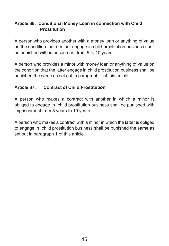# **Article 36: Conditional Money Loan in connection with Child Prostitution**

A person who provides another with a money loan or anything of value on the condition that a minor engage in child prostitution business shall be punished with imprisonment from 5 to 10 years.

A person who provides a minor with money loan or anything of value on the condition that the latter engage in child prostitution business shall be punished the same as set out in paragraph 1 of this article.

# **Article 37: Contract of Child Prostitution**

A person who makes a contract with another in which a minor is obliged to engage in child prostitution business shall be punished with imprisonment from 5 years to 10 years.

A person who makes a contract with a minor in which the latter is obliged to engage in child prostitution business shall be punished the same as set out in paragraph 1 of this article.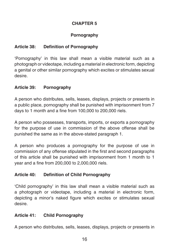# **Pornography**

# **Article 38: Definition of Pornography**

'Pornography' in this law shall mean a visible material such as a photograph or videotape, including a material in electronic form, depicting a genital or other similar pornography which excites or stimulates sexual desire.

# **Article 39: Pornography**

A person who distributes, sells, leases, displays, projects or presents in a public place, pornography shall be punished with imprisonment from 7 days to 1 month and a fine from 100,000 to 200,000 riels.

A person who possesses, transports, imports, or exports a pornography for the purpose of use in commission of the above offense shall be punished the same as in the above-stated paragraph 1.

A person who produces a pornography for the purpose of use in commission of any offense stipulated in the first and second paragraphs of this article shall be punished with imprisonment from 1 month to 1 year and a fine from 200,000 to 2,000,000 riels.

# **Article 40: Definition of Child Pornography**

'Child pornography' in this law shall mean a visible material such as a photograph or videotape, including a material in electronic form, depicting a minor's naked figure which excites or stimulates sexual desire.

# **Article 41: Child Pornography**

A person who distributes, sells, leases, displays, projects or presents in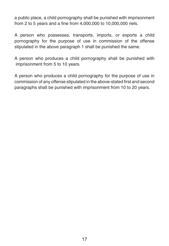a public place, a child pornography shall be punished with imprisonment from 2 to 5 years and a fine from 4,000,000 to 10,000,000 riels.

A person who possesses, transports, imports, or exports a child pornography for the purpose of use in commission of the offense stipulated in the above paragraph 1 shall be punished the same.

A person who produces a child pornography shall be punished with imprisonment from 5 to 10 years.

A person who produces a child pornography for the purpose of use in commission of any offense stipulated in the above-stated first and second paragraphs shall be punished with imprisonment from 10 to 20 years.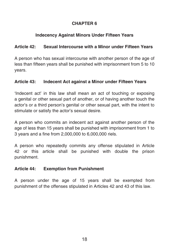# **Indecency Against Minors Under Fifteen Years**

# **Article 42: Sexual Intercourse with a Minor under Fifteen Years**

A person who has sexual intercourse with another person of the age of less than fifteen years shall be punished with imprisonment from 5 to 10 years.

# **Article 43: Indecent Act against a Minor under Fifteen Years**

'Indecent act' in this law shall mean an act of touching or exposing a genital or other sexual part of another, or of having another touch the actor's or a third person's genital or other sexual part, with the intent to stimulate or satisfy the actor's sexual desire.

A person who commits an indecent act against another person of the age of less than 15 years shall be punished with imprisonment from 1 to 3 years and a fine from 2,000,000 to 6,000,000 riels.

A person who repeatedly commits any offense stipulated in Article 42 or this article shall be punished with double the prison punishment.

# **Article 44: Exemption from Punishment**

A person under the age of 15 years shall be exempted from punishment of the offenses stipulated in Articles 42 and 43 of this law.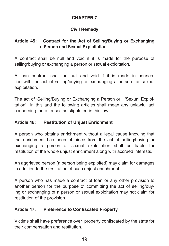# **Civil Remedy**

# **Article 45: Contract for the Act of Selling/Buying or Exchanging a Person and Sexual Exploitation**

A contract shall be null and void if it is made for the purpose of selling/buying or exchanging a person or sexual exploitation.

A loan contract shall be null and void if it is made in connection with the act of selling/buying or exchanging a person or sexual exploitation.

The act of 'Selling/Buying or Exchanging a Person or 'Sexual Exploitation' in this and the following articles shall mean any unlawful act concerning the offenses as stipulated in this law.

### **Article 46: Restitution of Unjust Enrichment**

A person who obtains enrichment without a legal cause knowing that the enrichment has been obtained from the act of selling/buying or exchanging a person or sexual exploitation shall be liable for restitution of the whole unjust enrichment along with accrued interests.

An aggrieved person (a person being exploited) may claim for damages in addition to the restitution of such unjust enrichment.

A person who has made a contract of loan or any other provision to another person for the purpose of committing the act of selling/buying or exchanging of a person or sexual exploitation may not claim for restitution of the provision.

# **Article 47: Preference to Confiscated Property**

Victims shall have preference over property confiscated by the state for their compensation and restitution.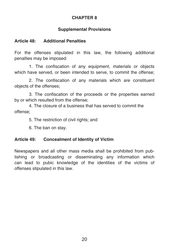# **Supplemental Provisions**

## **Article 48: Additional Penalties**

For the offenses stipulated in this law, the following additional penalties may be imposed:

1. The confiscation of any equipment, materials or objects which have served, or been intended to serve, to commit the offense;

2. The confiscation of any materials which are constituent objects of the offenses;

3. The confiscation of the proceeds or the properties earned by or which resulted from the offense;

4. The closure of a business that has served to commit the offense;

5. The restriction of civil rights; and

6. The ban on stay.

# **Article 49: Concealment of Identity of Victim**

Newspapers and all other mass media shall be prohibited from publishing or broadcasting or disseminating any information which can lead to pubic knowledge of the identities of the victims of offenses stipulated in this law.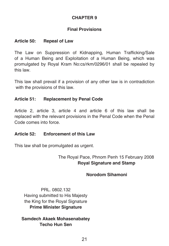## **Final Provisions**

#### **Article 50: Repeal of Law**

The Law on Suppression of Kidnapping, Human Trafficking/Sale of a Human Being and Exploitation of a Human Being, which was promulgated by Royal Kram No:cs/rkm/0296/01 shall be repealed by this law.

This law shall prevail if a provision of any other law is in contradiction with the provisions of this law.

### **Article 51: Replacement by Penal Code**

Article 2, article 3, article 4 and article 6 of this law shall be replaced with the relevant provisions in the Penal Code when the Penal Code comes into force.

#### **Article 52: Enforcement of this Law**

This law shall be promulgated as urgent.

# The Royal Pace, Phnom Penh 15 February 2008 **Royal Signature and Stamp**

# **Norodom Sihamoni**

PRL. 0802.132 Having submitted to His Majesty the King for the Royal Signature **Prime Minister Signature**

**Samdech Akaek Mohasenabatey Techo Hun Sen**